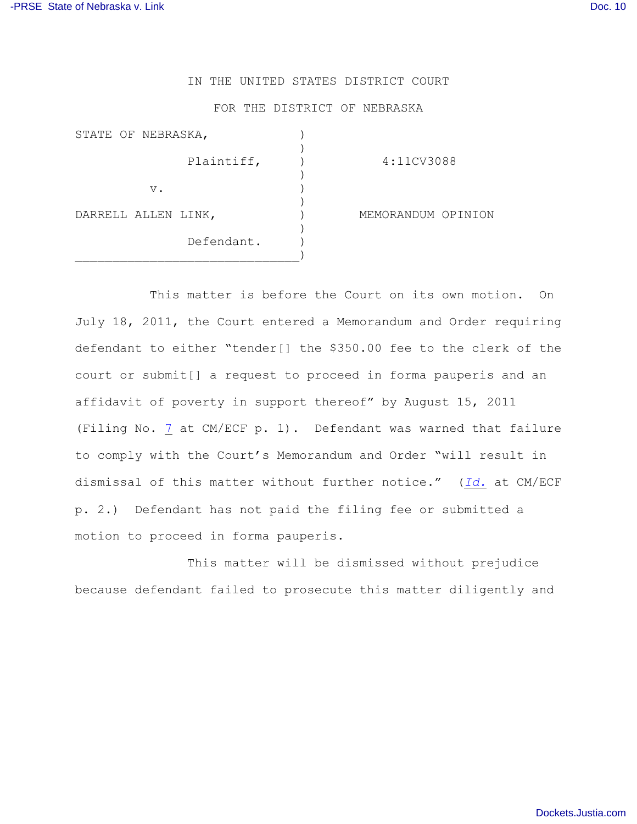## IN THE UNITED STATES DISTRICT COURT

## FOR THE DISTRICT OF NEBRASKA

| STATE OF NEBRASKA,  |                    |
|---------------------|--------------------|
| Plaintiff,          | 4:11CV3088         |
| $V$ .               |                    |
| DARRELL ALLEN LINK, | MEMORANDUM OPINION |
| Defendant.          |                    |

This matter is before the Court on its own motion. On July 18, 2011, the Court entered a Memorandum and Order requiring defendant to either "tender[] the \$350.00 fee to the clerk of the court or submit[] a request to proceed in forma pauperis and an affidavit of poverty in support thereof" by August 15, 2011 (Filing No. [7](https://ecf.ned.uscourts.gov/doc1/11312311149https://ecf.ned.uscourts.gov/doc1/11312311149) at CM/ECF p. 1). Defendant was warned that failure to comply with the Court's Memorandum and Order "will result in dismissal of this matter without further notice." (*[Id.](https://ecf.ned.uscourts.gov/doc1/11312311149)* at CM/ECF p. 2.) Defendant has not paid the filing fee or submitted a motion to proceed in forma pauperis.

This matter will be dismissed without prejudice because defendant failed to prosecute this matter diligently and